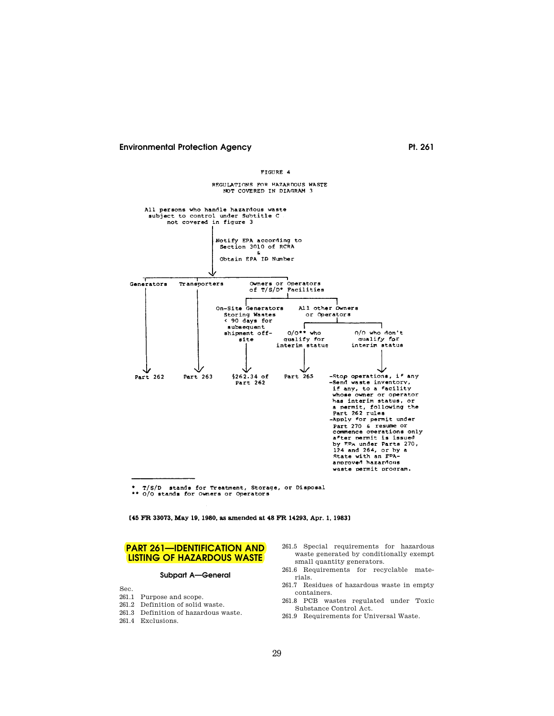

T/S/D stands for Treatment, Storage, or Disposal

\*\* 0/0 stands for Owners or Operators

[45 FR 33073, May 19, 1980, as amended at 48 FR 14293, Apr. 1, 1983]

# **PART 261—IDENTIFICATION AND LISTING OF HAZARDOUS WASTE**

#### **Subpart A—General**

Sec.

- 261.1 Purpose and scope.
- 261.2 Definition of solid waste.
- 261.3 Definition of hazardous waste.
- 261.4 Exclusions.
- 261.5 Special requirements for hazardous waste generated by conditionally exempt small quantity generators.
- 261.6 Requirements for recyclable materials.
- 261.7 Residues of hazardous waste in empty containers.
- 261.8 PCB wastes regulated under Toxic Substance Control Act.
- 261.9 Requirements for Universal Waste.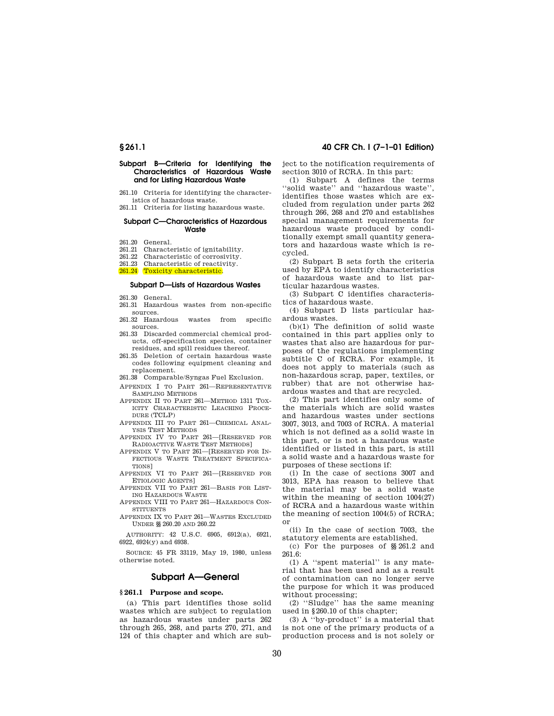#### **Subpart B-Criteria for Identifying the Characteristics of Hazardous Waste and for Listing Hazardous Waste**

261.10 Criteria for identifying the characteristics of hazardous waste.

261.11 Criteria for listing hazardous waste.

#### **Subpart C— Characteristics of Hazardous Waste**

- 261.20 General.
- 261.21 Characteristic of ignitability.

261.22 Characteristic of corrosivity.

261.23 Characteristic of reactivity.

261.24 Toxicity characteristic.

## **Subpart D— Lists of Hazardous Wastes**

- 261.30 General.
- 261.31 Hazardous wastes from non-specific sources.
- 261.32 Hazardous wastes from specific sources.
- 261.33 Discarded commercial chemical products, off-specification species, container residues, and spill residues thereof.
- 261.35 Deletion of certain hazardous waste codes following equipment cleaning and replacement.
- 261.38 Comparable/Syngas Fuel Exclusion.
- APPENDIX I TO PART 261— REPRESENTATIVE SAMPLING METHODS
- APPENDIX II TO PART 261— METHOD 1311 TOX-ICITY CHARACTERISTIC LEACHING PROCE-DURE (TCLP)
- APPENDIX III TO PART 261— CHEMICAL ANAL-YSIS TEST METHODS
- APPENDIX IV TO PART 261— [RESERVED FOR RADIOACTIVE WASTE TEST METHODS]
- APPENDIX V TO PART 261— [RESERVED FOR IN-FECTIOUS WASTE TREATMENT SPECIFICA-TIONS]
- APPENDIX VI TO PART 261— [RESERVED FOR ETIOLOGIC AGENTS]
- APPENDIX VII TO PART 261— BASIS FOR LIST-ING HAZARDOUS WASTE
- APPENDIX VIII TO PART 261— HAZARDOUS CON-STITUENTS
- APPENDIX IX TO PART 261— WASTES EXCLUDED UNDER §§ 260.20 AND 260.22

AUTHORITY: 42 U.S.C. 6905, 6912(a), 6921, 6922, 6924(y) and 6938.

SOURCE: 45 FR 33119, May 19, 1980, unless otherwise noted.

# **Subpart A— General**

## **§ 261.1 Purpose and scope.**

(a) This part identifies those solid wastes which are subject to regulation as hazardous wastes under parts 262 through 265, 268, and parts 270, 271, and 124 of this chapter and which are subject to the notification requirements of section 3010 of RCRA. In this part:

(1) Subpart A defines the terms ''solid waste'' and ''hazardous waste'', identifies those wastes which are excluded from regulation under parts 262 through 266, 268 and 270 and establishes special management requirements for hazardous waste produced by conditionally exempt small quantity generators and hazardous waste which is recycled.

(2) Subpart B sets forth the criteria used by EPA to identify characteristics of hazardous waste and to list particular hazardous wastes.

(3) Subpart C identifies characteristics of hazardous waste.

(4) Subpart D lists particular hazardous wastes.

(b)(1) The definition of solid waste contained in this part applies only to wastes that also are hazardous for purposes of the regulations implementing subtitle C of RCRA. For example, it does not apply to materials (such as non-hazardous scrap, paper, textiles, or rubber) that are not otherwise hazardous wastes and that are recycled.

(2) This part identifies only some of the materials which are solid wastes and hazardous wastes under sections 3007, 3013, and 7003 of RCRA. A material which is not defined as a solid waste in this part, or is not a hazardous waste identified or listed in this part, is still a solid waste and a hazardous waste for purposes of these sections if:

(i) In the case of sections 3007 and 3013, EPA has reason to believe that the material may be a solid waste within the meaning of section 1004(27) of RCRA and a hazardous waste within the meaning of section 1004(5) of RCRA; or

(ii) In the case of section 7003, the statutory elements are established.

(c) For the purposes of §§ 261.2 and 261.6:

(1) A ''spent material'' is any material that has been used and as a result of contamination can no longer serve the purpose for which it was produced without processing;

(2) ''Sludge'' has the same meaning used in § 260.10 of this chapter;

(3) A ''by-product'' is a material that is not one of the primary products of a production process and is not solely or